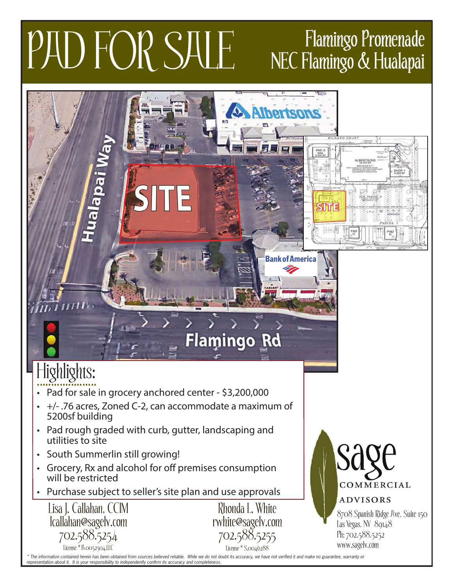## PAD FOR SALE Flamingo Promenade

## NEC Flamingo & Hualapai